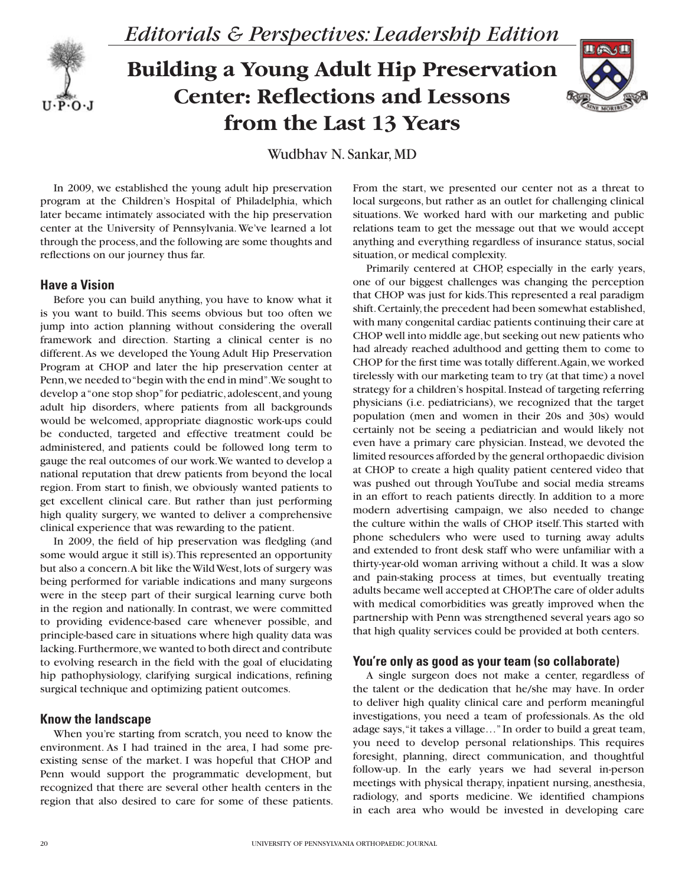

*Editorials & Perspectives: Leadership Edition*

# **Building a Young Adult Hip Preservation Center: Reflections and Lessons from the Last 13 Years**



Wudbhav N. Sankar, MD

In 2009, we established the young adult hip preservation program at the Children's Hospital of Philadelphia, which later became intimately associated with the hip preservation center at the University of Pennsylvania. We've learned a lot through the process, and the following are some thoughts and reflections on our journey thus far.

## **Have a Vision**

Before you can build anything, you have to know what it is you want to build. This seems obvious but too often we jump into action planning without considering the overall framework and direction. Starting a clinical center is no different. As we developed the Young Adult Hip Preservation Program at CHOP and later the hip preservation center at Penn, we needed to "begin with the end in mind". We sought to develop a "one stop shop" for pediatric, adolescent, and young adult hip disorders, where patients from all backgrounds would be welcomed, appropriate diagnostic work-ups could be conducted, targeted and effective treatment could be administered, and patients could be followed long term to gauge the real outcomes of our work. We wanted to develop a national reputation that drew patients from beyond the local region. From start to finish, we obviously wanted patients to get excellent clinical care. But rather than just performing high quality surgery, we wanted to deliver a comprehensive clinical experience that was rewarding to the patient.

In 2009, the field of hip preservation was fledgling (and some would argue it still is). This represented an opportunity but also a concern. A bit like the Wild West, lots of surgery was being performed for variable indications and many surgeons were in the steep part of their surgical learning curve both in the region and nationally. In contrast, we were committed to providing evidence-based care whenever possible, and principle-based care in situations where high quality data was lacking. Furthermore, we wanted to both direct and contribute to evolving research in the field with the goal of elucidating hip pathophysiology, clarifying surgical indications, refining surgical technique and optimizing patient outcomes.

### **Know the landscape**

When you're starting from scratch, you need to know the environment. As I had trained in the area, I had some preexisting sense of the market. I was hopeful that CHOP and Penn would support the programmatic development, but recognized that there are several other health centers in the region that also desired to care for some of these patients.

From the start, we presented our center not as a threat to local surgeons, but rather as an outlet for challenging clinical situations. We worked hard with our marketing and public relations team to get the message out that we would accept anything and everything regardless of insurance status, social situation, or medical complexity.

Primarily centered at CHOP, especially in the early years, one of our biggest challenges was changing the perception that CHOP was just for kids. This represented a real paradigm shift. Certainly, the precedent had been somewhat established, with many congenital cardiac patients continuing their care at CHOP well into middle age, but seeking out new patients who had already reached adulthood and getting them to come to CHOP for the first time was totally different. Again, we worked tirelessly with our marketing team to try (at that time) a novel strategy for a children's hospital. Instead of targeting referring physicians (i.e. pediatricians), we recognized that the target population (men and women in their 20s and 30s) would certainly not be seeing a pediatrician and would likely not even have a primary care physician. Instead, we devoted the limited resources afforded by the general orthopaedic division at CHOP to create a high quality patient centered video that was pushed out through YouTube and social media streams in an effort to reach patients directly. In addition to a more modern advertising campaign, we also needed to change the culture within the walls of CHOP itself. This started with phone schedulers who were used to turning away adults and extended to front desk staff who were unfamiliar with a thirty-year-old woman arriving without a child. It was a slow and pain-staking process at times, but eventually treating adults became well accepted at CHOP. The care of older adults with medical comorbidities was greatly improved when the partnership with Penn was strengthened several years ago so that high quality services could be provided at both centers.

#### **You're only as good as your team (so collaborate)**

A single surgeon does not make a center, regardless of the talent or the dedication that he/she may have. In order to deliver high quality clinical care and perform meaningful investigations, you need a team of professionals. As the old adage says, "it takes a village…" In order to build a great team, you need to develop personal relationships. This requires foresight, planning, direct communication, and thoughtful follow-up. In the early years we had several in-person meetings with physical therapy, inpatient nursing, anesthesia, radiology, and sports medicine. We identified champions in each area who would be invested in developing care